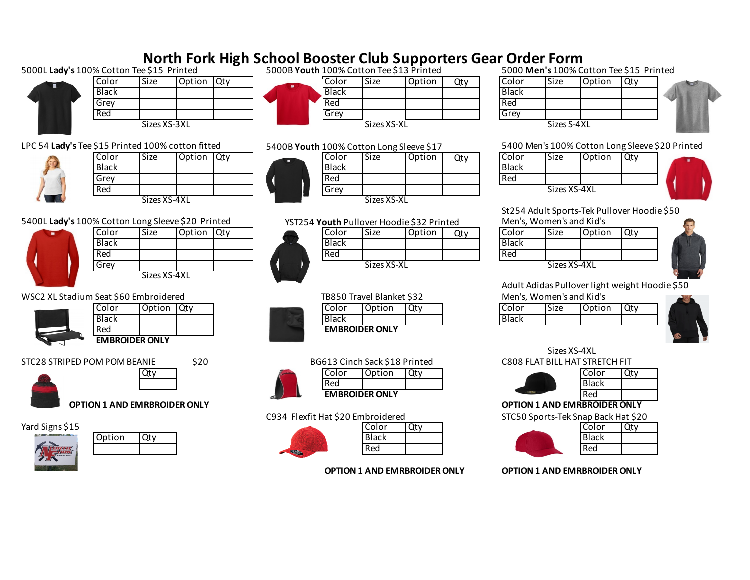## **North Fork High School Booster Club Supporters Gear Order Form**<br>EQ15 Printed 5000B Youth 100% Cotton Tee \$13 Printed 5000 Men's 100% Cotton Tee \$15 Printed 5000L **Lady's** 100% Cotton Tee \$15 Printed 5000B **Youth** 100% Cotton Tee \$13 Printed 5000 **Men's** 100% Cotton Tee \$15 Printed Color Size Option Qty Color Size Option Qty Color Size Option Qty Black | | | | | Black Black | | | Black Grey | | | | Red | | | | Red Red | | | | | | Grey | | | | Grey Sizes XS-3XL Sizes S-4XL Sizes S-4XL Sizes S-4XL Sizes S-4XL Sizes S-4XL LPC 54 **Lady's** Tee \$15 Printed 100% cotton fitted 5400 Men's 100% Cotton Long Sleeve \$20 Printed Color Size Option Qty Color Size Option Qty Color Size Option Qty Black | | | | | Black Black | | | Black Grey **Red** Red **Red** Red Red Red Red | | | | | | Grey | | | | Green Sizes XS-4XL Sizes XS-4XL Sizes XS-XL St254 Adult Sports-Tek Pullover Hoodie \$50 5400L Lady's 100% Cotton Long Sleeve \$20 Printed YST254 Youth Pullover Hoodie \$32 Printed Men's, Women's and Kid's Color Size Option Qty Color Size Option Qty Color Size Option Qty Black | | | | N/ Black | | | Black Red **Red Red Red Red Red Red** Red Red Grey Reserve that the state of the Sizes XS-AS Sizes XS-XL Sizes XS-AXL Sizes XS-4XL Sizes XS-4XL Adult Adidas Pullover light weight Hoodie \$50 WSC2 XL Stadium Seat \$60 Embroidered New York States and Kid's TB850 Travel Blanket \$32 Men's, Women's and Kid's Color Option Qty Color Option Qty Color Size Option Qty Black Black Black Red **EMBROIDER ONLY EMBROIDER ONLY** Sizes XS-4XL STC28 STRIPED POM POM BEANIE \$20 \$20 C808 FLAT BILL HAT STRETCH FIT Qty Color Color Option Qty Color Color Qty Color Qty Red Black **EMBROIDER ONLY** Red **OPTION 1 AND EMRBROIDER ONLY OPTION 1 AND EMRBROIDER ONLY** C934 Flexfit Hat \$20 Embroidered STC50 Sports-Tek Snap Back Hat \$20 Yard Signs \$15 Color Qty Color Qty Color Qty Color Qty Color Qty Color Qty Color Qty Option Qty The Changes of Black Black Black Black Black Black Red Red **OPTION 1 AND EMRBROIDER ONLY OPTION 1 AND EMRBROIDER ONLY** YST254 **Youth** Pullover Hoodie \$32 Printed 5400B **Youth** 100% Cotton Long Sleeve \$17 TB850 Travel Blanket \$32